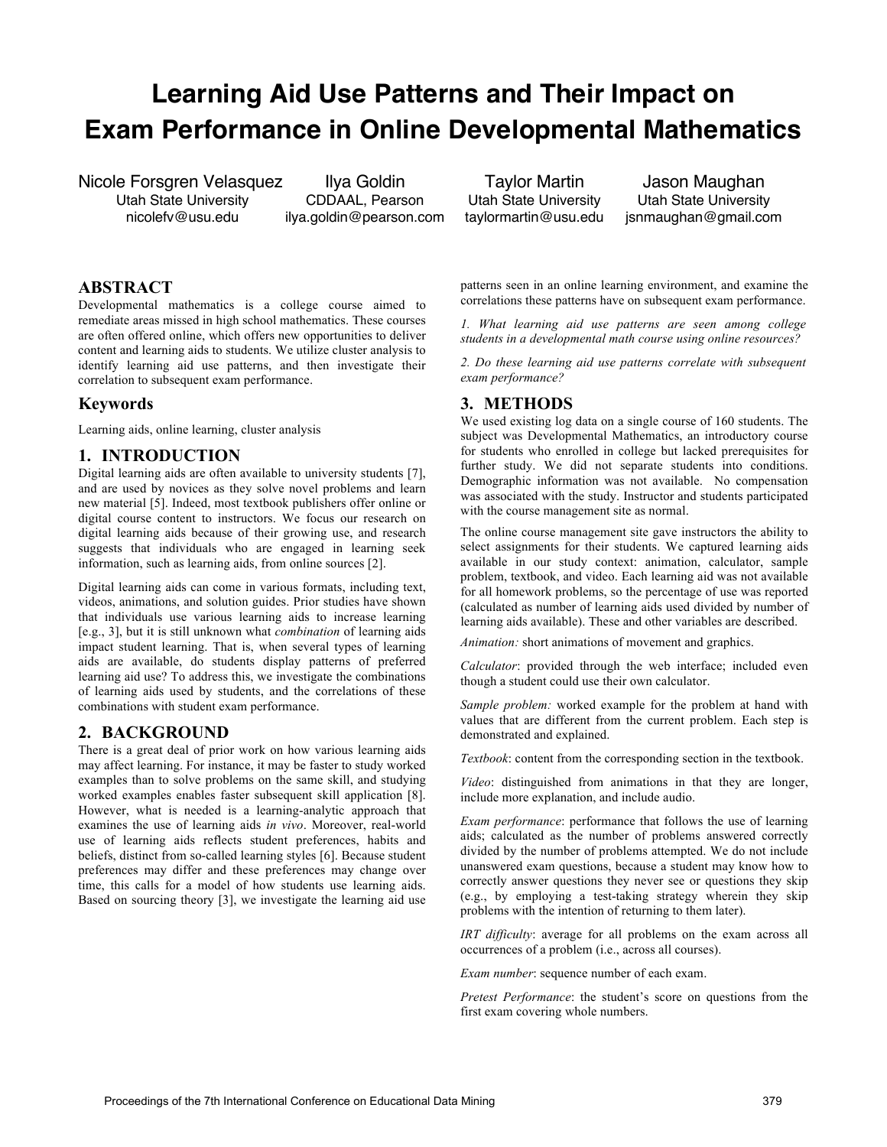# **Learning Aid Use Patterns and Their Impact on Exam Performance in Online Developmental Mathematics**

Nicole Forsgren Velasquez Ilya Goldin Taylor Martin Jason Maughan<br>Utah State University CDDAAL, Pearson Utah State University Utah State University Utah State University CDDAAL, Pearson Utah State University<br>nicolefv@usu.edu ilva.goldin@pearson.com taylormartin@usu.edu nicolefv@usu.edu ilya.goldin@pearson.com taylormartin@usu.edu jsnmaughan@gmail.com

# **ABSTRACT**

Developmental mathematics is a college course aimed to remediate areas missed in high school mathematics. These courses are often offered online, which offers new opportunities to deliver content and learning aids to students. We utilize cluster analysis to identify learning aid use patterns, and then investigate their correlation to subsequent exam performance.

#### **Keywords**

Learning aids, online learning, cluster analysis

# **1. INTRODUCTION**

Digital learning aids are often available to university students [7], and are used by novices as they solve novel problems and learn new material [5]. Indeed, most textbook publishers offer online or digital course content to instructors. We focus our research on digital learning aids because of their growing use, and research suggests that individuals who are engaged in learning seek information, such as learning aids, from online sources [2].

Digital learning aids can come in various formats, including text, videos, animations, and solution guides. Prior studies have shown that individuals use various learning aids to increase learning [e.g., 3], but it is still unknown what *combination* of learning aids impact student learning. That is, when several types of learning aids are available, do students display patterns of preferred learning aid use? To address this, we investigate the combinations of learning aids used by students, and the correlations of these combinations with student exam performance.

## **2. BACKGROUND**

There is a great deal of prior work on how various learning aids may affect learning. For instance, it may be faster to study worked examples than to solve problems on the same skill, and studying worked examples enables faster subsequent skill application [8]. However, what is needed is a learning-analytic approach that examines the use of learning aids *in vivo*. Moreover, real-world use of learning aids reflects student preferences, habits and beliefs, distinct from so-called learning styles [6]. Because student preferences may differ and these preferences may change over time, this calls for a model of how students use learning aids. Based on sourcing theory [3], we investigate the learning aid use

patterns seen in an online learning environment, and examine the correlations these patterns have on subsequent exam performance.

*1. What learning aid use patterns are seen among college students in a developmental math course using online resources?*

*2. Do these learning aid use patterns correlate with subsequent exam performance?*

## **3. METHODS**

We used existing log data on a single course of 160 students. The subject was Developmental Mathematics, an introductory course for students who enrolled in college but lacked prerequisites for further study. We did not separate students into conditions. Demographic information was not available. No compensation was associated with the study. Instructor and students participated with the course management site as normal.

The online course management site gave instructors the ability to select assignments for their students. We captured learning aids available in our study context: animation, calculator, sample problem, textbook, and video. Each learning aid was not available for all homework problems, so the percentage of use was reported (calculated as number of learning aids used divided by number of learning aids available). These and other variables are described.

*Animation:* short animations of movement and graphics.

*Calculator*: provided through the web interface; included even though a student could use their own calculator.

*Sample problem:* worked example for the problem at hand with values that are different from the current problem. Each step is demonstrated and explained.

*Textbook*: content from the corresponding section in the textbook.

*Video*: distinguished from animations in that they are longer, include more explanation, and include audio.

*Exam performance*: performance that follows the use of learning aids; calculated as the number of problems answered correctly divided by the number of problems attempted. We do not include unanswered exam questions, because a student may know how to correctly answer questions they never see or questions they skip (e.g., by employing a test-taking strategy wherein they skip problems with the intention of returning to them later).

*IRT difficulty*: average for all problems on the exam across all occurrences of a problem (i.e., across all courses).

*Exam number*: sequence number of each exam.

*Pretest Performance*: the student's score on questions from the first exam covering whole numbers.